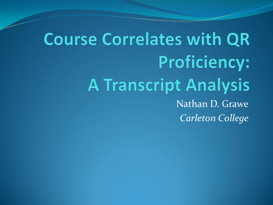# **Course Correlates with QR Proficiency: A Transcript Analysis** Nathan D. Grawe *Carleton College*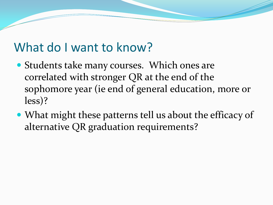### What do I want to know?

- Students take many courses. Which ones are correlated with stronger QR at the end of the sophomore year (ie end of general education, more or less)?
- What might these patterns tell us about the efficacy of alternative QR graduation requirements?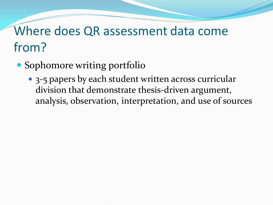- Sophomore writing portfolio
	- 3-5 papers by each student written across curricular division that demonstrate thesis-driven argument, analysis, observation, interpretation, and use of sources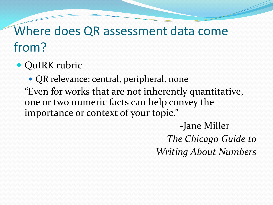• QuIRK rubric

• QR relevance: central, peripheral, none "Even for works that are not inherently quantitative, one or two numeric facts can help convey the importance or context of your topic."

> -Jane Miller *The Chicago Guide to Writing About Numbers*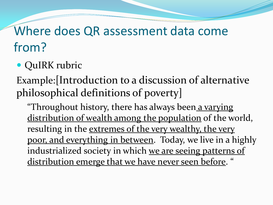#### • QuIRK rubric

Example:[Introduction to a discussion of alternative philosophical definitions of poverty]

"Throughout history, there has always been a varying distribution of wealth among the population of the world, resulting in the extremes of the very wealthy, the very poor, and everything in between. Today, we live in a highly industrialized society in which we are seeing patterns of distribution emerge that we have never seen before. "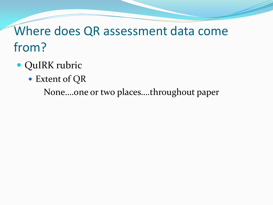- QuIRK rubric
	- Extent of QR

None….one or two places….throughout paper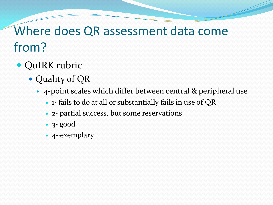- QuIRK rubric
	- Quality of QR
		- 4-point scales which differ between central & peripheral use
			- 1~fails to do at all or substantially fails in use of QR
			- 2~partial success, but some reservations
			- 3~good
			- 4~exemplary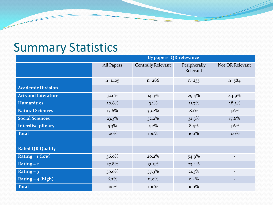#### Summary Statistics

|                            | <b>By papers' QR relevance</b> |                    |                          |                 |  |
|----------------------------|--------------------------------|--------------------|--------------------------|-----------------|--|
|                            | <b>All Papers</b>              | Centrally Relevant | Peripherally<br>Relevant | Not QR Relevant |  |
|                            | $n=1,105$                      | $n = 286$          | $n = 235$                | $n = 584$       |  |
| <b>Academic Division</b>   |                                |                    |                          |                 |  |
| <b>Arts and Literature</b> | $32.0\%$                       | $14.3\%$           | $29.4\%$                 | 44.9%           |  |
| <b>Humanities</b>          | 20.8%                          | $9.1\%$            | $21.7\%$                 | $28.3\%$        |  |
| <b>Natural Sciences</b>    | $13.6\%$                       | $39.2\%$           | 8.1%                     | 4.6%            |  |
| <b>Social Sciences</b>     | $23.3\%$                       | $32.2\%$           | $32.3\%$                 | $17.6\%$        |  |
| Interdisciplinary          | $5.3\%$                        | $5.2\%$            | $8.5\%$                  | $4.6\%$         |  |
| <b>Total</b>               | $100\%$                        | $100\%$            | $100\%$                  | $100\%$         |  |
|                            |                                |                    |                          |                 |  |
| <b>Rated QR Quality</b>    |                                |                    |                          |                 |  |
| Rating = $1$ (low)         | $36.0\%$                       | $20.2\%$           | 54.9%                    |                 |  |
| Rating $= 2$               | 27.8%                          | $31.5\%$           | $23.4\%$                 |                 |  |
| Rating = $3$               | $30.0\%$                       | $37.3\%$           | $21.3\%$                 |                 |  |
| Rating = $_4$ (high)       | 6.2%                           | $11.0\%$           | $0.4\%$                  |                 |  |
| Total                      | $100\%$                        | $100\%$            | $100\%$                  |                 |  |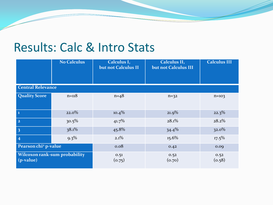#### Results: Calc & Intro Stats

|                                              | <b>No Calculus</b> | Calculus I,<br>but not Calculus II | Calculus II,<br>but not Calculus III | <b>Calculus III</b> |  |
|----------------------------------------------|--------------------|------------------------------------|--------------------------------------|---------------------|--|
| <b>Central Relevance</b>                     |                    |                                    |                                      |                     |  |
| <b>Quality Score</b>                         | $n = 118$          | $n = 48$                           | $n=32$                               | $n = 103$           |  |
| $\mathbf{I}$                                 | $22.0\%$           | $10.4\%$                           | $21.9\%$                             | $22.3\%$            |  |
| $\overline{2}$                               | $30.5\%$           | 41.7%                              | 28.1%                                | $28.2\%$            |  |
| $\overline{\mathbf{3}}$                      | 38.1%              | 45.8%                              | $34.4\%$                             | $32.0\%$            |  |
| $\overline{4}$                               | $9.3\%$            | $2.1\%$                            | $15.6\%$                             | $17.5\%$            |  |
| Pearson chi <sup>2</sup> p-value             |                    | 0.08                               | 0.42                                 | 0.09                |  |
| Wilcoxon rank-sum probability<br>$(p-value)$ |                    | 0.51<br>(0.75)                     | 0.52<br>(0.70)                       | 0.52<br>(0.58)      |  |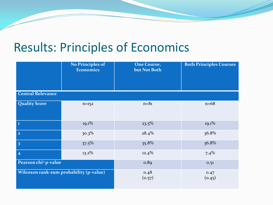### Results: Principles of Economics

|                                         | <b>No Principles of</b><br><b>Economics</b> | <b>One Course,</b><br>but Not Both | <b>Both Principles Courses</b> |
|-----------------------------------------|---------------------------------------------|------------------------------------|--------------------------------|
| <b>Central Relevance</b>                |                                             |                                    |                                |
| <b>Quality Score</b>                    | $n = 152$                                   | $n = 81$                           | $n=68$                         |
| $\mathbf 1$                             | $19.1\%$                                    | $23.5\%$                           | $19.1\%$                       |
| $\mathbf{2}$                            | $30.3\%$                                    | $28.4\%$                           | 36.8%                          |
| $\overline{\mathbf{3}}$                 | $37.5\%$                                    | 35.8%                              | 36.8%                          |
| $\overline{\mathbf{4}}$                 | $13.2\%$                                    | $12.4\%$                           | 7.4%                           |
| Pearson chi <sup>2</sup> p-value        |                                             | 0.89                               | 0.51                           |
| Wilcoxon rank-sum probability (p-value) |                                             | 0.48<br>(o.57)                     | 0.47<br>(0.45)                 |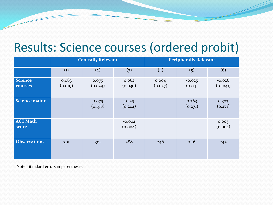#### Results: Science courses (ordered probit)

|                           | <b>Centrally Relevant</b> |                   |                     | <b>Peripherally Relevant</b> |                     |                        |
|---------------------------|---------------------------|-------------------|---------------------|------------------------------|---------------------|------------------------|
|                           | $\left( 1\right)$         | $\left( 2\right)$ | (3)                 | (4)                          | (5)                 | (6)                    |
| <b>Science</b><br>courses | 0.083<br>(0.019)          | 0.075<br>(0.029)  | 0.062<br>(0.030)    | 0.004<br>(0.027)             | $-0.025$<br>(0.041) | $-0.026$<br>$(-0.041)$ |
| Science major             |                           | 0.075<br>(0.198)  | 0.125<br>(0.202)    |                              | 0.263<br>(0.271)    | 0.303<br>(0.271)       |
| <b>ACT Math</b><br>score  |                           |                   | $-0.002$<br>(0.004) |                              |                     | 0.005<br>(0.005)       |
| <b>Observations</b>       | 301                       | 301               | 288                 | 246                          | 246                 | 242                    |

Note: Standard errors in parentheses.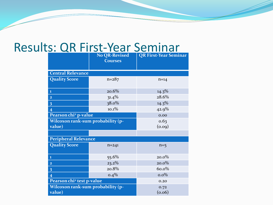#### Results: QR First-Year Seminar

|                                             | <b>No QR-Revised</b><br><b>Courses</b> | <b>QR First-Year Seminar</b> |  |  |
|---------------------------------------------|----------------------------------------|------------------------------|--|--|
| <b>Central Relevance</b>                    |                                        |                              |  |  |
| <b>Quality Score</b>                        | $n = 287$                              | $n=14$                       |  |  |
| $\mathbf{1}$                                | 20.6%                                  | $14.3\%$                     |  |  |
| $\overline{2}$                              | $31.4\%$                               | 28.6%                        |  |  |
| $\overline{\mathbf{3}}$                     | $38.0\%$                               | $14.3\%$                     |  |  |
| $\overline{4}$                              | 10.1%                                  | 42.9%                        |  |  |
| Pearson chi <sup>2</sup> p-value            | 0.00                                   |                              |  |  |
| Wilcoxon rank-sum probability (p-<br>value) |                                        | 0.63<br>(0.09)               |  |  |
|                                             |                                        |                              |  |  |
| <b>Peripheral Relevance</b>                 |                                        |                              |  |  |
| <b>Quality Score</b>                        | $n = 241$                              | $n=5$                        |  |  |
| $\mathbf{1}$                                | 55.6%                                  | $20.0\%$                     |  |  |
| $\overline{\mathbf{2}}$                     | $23.2\%$                               | $20.0\%$                     |  |  |
| $\overline{\mathbf{3}}$                     | 20.8%                                  | 60.0%                        |  |  |
| $\overline{4}$                              | $0.4\%$                                | $0.0\%$                      |  |  |
| Pearson chi <sup>2</sup> test p-value       | 0.20                                   |                              |  |  |
| Wilcoxon rank-sum probability (p-<br>value) |                                        | 0.72<br>(0.06)               |  |  |